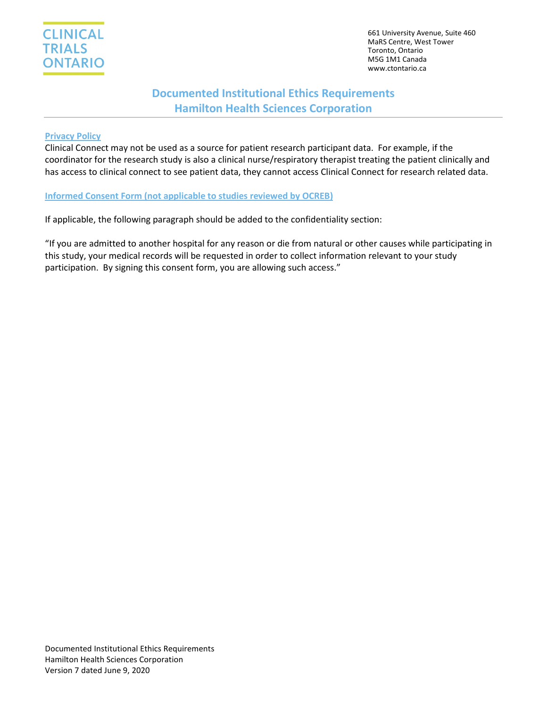

661 University Avenue, Suite 460 MaRS Centre, West Tower Toronto, Ontario M5G 1M1 Canada www.ctontario.ca

# **Documented Institutional Ethics Requirements Hamilton Health Sciences Corporation**

#### **Privacy Policy**

Clinical Connect may not be used as a source for patient research participant data. For example, if the coordinator for the research study is also a clinical nurse/respiratory therapist treating the patient clinically and has access to clinical connect to see patient data, they cannot access Clinical Connect for research related data.

**Informed Consent Form (not applicable to studies reviewed by OCREB)**

If applicable, the following paragraph should be added to the confidentiality section:

"If you are admitted to another hospital for any reason or die from natural or other causes while participating in this study, your medical records will be requested in order to collect information relevant to your study participation. By signing this consent form, you are allowing such access."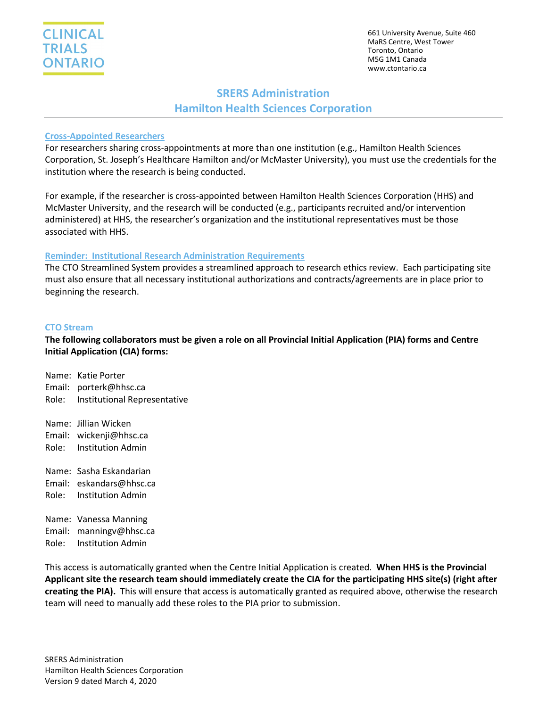661 University Avenue, Suite 460 MaRS Centre, West Tower Toronto, Ontario M5G 1M1 Canada www.ctontario.ca

# **SRERS Administration Hamilton Health Sciences Corporation**

### **Cross-Appointed Researchers**

For researchers sharing cross-appointments at more than one institution (e.g., Hamilton Health Sciences Corporation, St. Joseph's Healthcare Hamilton and/or McMaster University), you must use the credentials for the institution where the research is being conducted.

For example, if the researcher is cross-appointed between Hamilton Health Sciences Corporation (HHS) and McMaster University, and the research will be conducted (e.g., participants recruited and/or intervention administered) at HHS, the researcher's organization and the institutional representatives must be those associated with HHS.

#### **Reminder: Institutional Research Administration Requirements**

The CTO Streamlined System provides a streamlined approach to research ethics review. Each participating site must also ensure that all necessary institutional authorizations and contracts/agreements are in place prior to beginning the research.

#### **CTO Stream**

### **The following collaborators must be given a role on all Provincial Initial Application (PIA) forms and Centre Initial Application (CIA) forms:**

Name: Katie Porter Email: porterk@hhsc.ca Role: Institutional Representative

Name: Jillian Wicken Email: wickenji@hhsc.ca Role: Institution Admin

Name: Sasha Eskandarian Email: eskandars@hhsc.ca Role: Institution Admin

Name: Vanessa Manning Email: manningv@hhsc.ca Role: Institution Admin

This access is automatically granted when the Centre Initial Application is created. **When HHS is the Provincial Applicant site the research team should immediately create the CIA for the participating HHS site(s) (right after creating the PIA).** This will ensure that access is automatically granted as required above, otherwise the research team will need to manually add these roles to the PIA prior to submission.